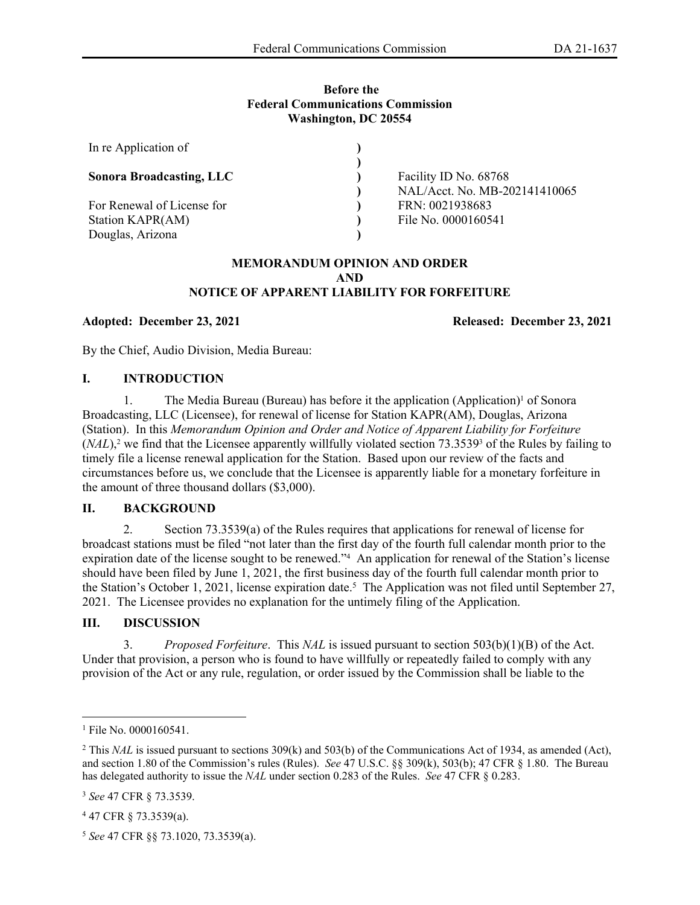#### **Before the Federal Communications Commission Washington, DC 20554**

| In re Application of            |                               |
|---------------------------------|-------------------------------|
| <b>Sonora Broadcasting, LLC</b> | Facility ID No. 68768         |
|                                 | NAL/Acct. No. MB-202141410065 |
| For Renewal of License for      | FRN: 0021938683               |
| Station KAPR(AM)                | File No. 0000160541           |
| Douglas, Arizona                |                               |

#### **MEMORANDUM OPINION AND ORDER AND NOTICE OF APPARENT LIABILITY FOR FORFEITURE**

**Adopted: December 23, 2021 Released: December 23, 2021**

By the Chief, Audio Division, Media Bureau:

## **I. INTRODUCTION**

1. The Media Bureau (Bureau) has before it the application (Application)<sup>1</sup> of Sonora Broadcasting, LLC (Licensee), for renewal of license for Station KAPR(AM), Douglas, Arizona (Station). In this *Memorandum Opinion and Order and Notice of Apparent Liability for Forfeiture*  (*NAL*),<sup>2</sup> we find that the Licensee apparently willfully violated section 73.3539<sup>3</sup> of the Rules by failing to timely file a license renewal application for the Station. Based upon our review of the facts and circumstances before us, we conclude that the Licensee is apparently liable for a monetary forfeiture in the amount of three thousand dollars (\$3,000).

# **II. BACKGROUND**

2. Section 73.3539(a) of the Rules requires that applications for renewal of license for broadcast stations must be filed "not later than the first day of the fourth full calendar month prior to the expiration date of the license sought to be renewed."<sup>4</sup> An application for renewal of the Station's license should have been filed by June 1, 2021, the first business day of the fourth full calendar month prior to the Station's October 1, 2021, license expiration date.<sup>5</sup> The Application was not filed until September 27, 2021. The Licensee provides no explanation for the untimely filing of the Application.

# **III. DISCUSSION**

3. *Proposed Forfeiture*. This *NAL* is issued pursuant to section 503(b)(1)(B) of the Act. Under that provision, a person who is found to have willfully or repeatedly failed to comply with any provision of the Act or any rule, regulation, or order issued by the Commission shall be liable to the

<sup>1</sup> File No. 0000160541.

<sup>&</sup>lt;sup>2</sup> This *NAL* is issued pursuant to sections 309(k) and 503(b) of the Communications Act of 1934, as amended (Act), and section 1.80 of the Commission's rules (Rules). *See* 47 U.S.C. §§ 309(k), 503(b); 47 CFR § 1.80. The Bureau has delegated authority to issue the *NAL* under section 0.283 of the Rules. *See* 47 CFR § 0.283.

<sup>3</sup> *See* 47 CFR § 73.3539.

<sup>4</sup> 47 CFR § 73.3539(a).

<sup>5</sup> *See* 47 CFR §§ 73.1020, 73.3539(a).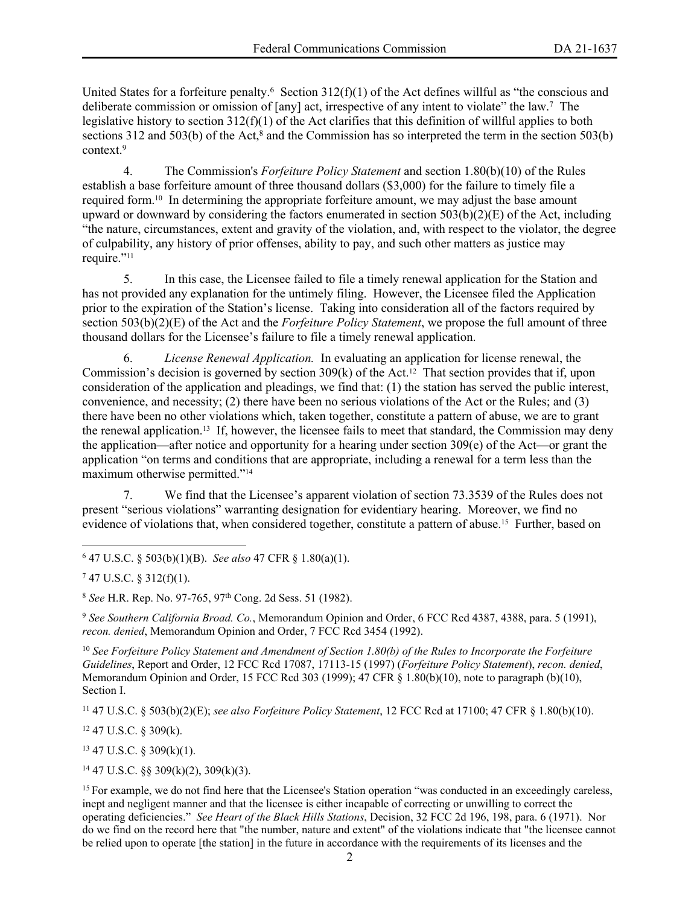United States for a forfeiture penalty.<sup>6</sup> Section  $312(f)(1)$  of the Act defines willful as "the conscious and deliberate commission or omission of [any] act, irrespective of any intent to violate" the law.<sup>7</sup> The legislative history to section 312(f)(1) of the Act clarifies that this definition of willful applies to both sections 312 and 503(b) of the Act, $8$  and the Commission has so interpreted the term in the section 503(b) context.<sup>9</sup>

4. The Commission's *Forfeiture Policy Statement* and section 1.80(b)(10) of the Rules establish a base forfeiture amount of three thousand dollars (\$3,000) for the failure to timely file a required form.10 In determining the appropriate forfeiture amount, we may adjust the base amount upward or downward by considering the factors enumerated in section  $503(b)(2)(E)$  of the Act, including "the nature, circumstances, extent and gravity of the violation, and, with respect to the violator, the degree of culpability, any history of prior offenses, ability to pay, and such other matters as justice may require."<sup>11</sup>

5. In this case, the Licensee failed to file a timely renewal application for the Station and has not provided any explanation for the untimely filing. However, the Licensee filed the Application prior to the expiration of the Station's license. Taking into consideration all of the factors required by section 503(b)(2)(E) of the Act and the *Forfeiture Policy Statement*, we propose the full amount of three thousand dollars for the Licensee's failure to file a timely renewal application.

6. *License Renewal Application.* In evaluating an application for license renewal, the Commission's decision is governed by section  $309(k)$  of the Act.<sup>12</sup> That section provides that if, upon consideration of the application and pleadings, we find that: (1) the station has served the public interest, convenience, and necessity; (2) there have been no serious violations of the Act or the Rules; and (3) there have been no other violations which, taken together, constitute a pattern of abuse, we are to grant the renewal application.<sup>13</sup> If, however, the licensee fails to meet that standard, the Commission may deny the application—after notice and opportunity for a hearing under section 309(e) of the Act—or grant the application "on terms and conditions that are appropriate, including a renewal for a term less than the maximum otherwise permitted."<sup>14</sup>

7. We find that the Licensee's apparent violation of section 73.3539 of the Rules does not present "serious violations" warranting designation for evidentiary hearing. Moreover, we find no evidence of violations that, when considered together, constitute a pattern of abuse.15 Further, based on

6 47 U.S.C. § 503(b)(1)(B). *See also* 47 CFR § 1.80(a)(1).

9  *See Southern California Broad. Co.*, Memorandum Opinion and Order, 6 FCC Rcd 4387, 4388, para. 5 (1991), *recon. denied*, Memorandum Opinion and Order, 7 FCC Rcd 3454 (1992).

<sup>10</sup> *See Forfeiture Policy Statement and Amendment of Section 1.80(b) of the Rules to Incorporate the Forfeiture Guidelines*, Report and Order, 12 FCC Rcd 17087, 17113-15 (1997) (*Forfeiture Policy Statement*), *recon. denied*, Memorandum Opinion and Order, 15 FCC Rcd 303 (1999); 47 CFR § 1.80(b)(10), note to paragraph (b)(10), Section I.

<sup>11</sup> 47 U.S.C. § 503(b)(2)(E); *see also Forfeiture Policy Statement*, 12 FCC Rcd at 17100; 47 CFR § 1.80(b)(10).

<sup>12</sup> 47 U.S.C. § 309(k).

 $13$  47 U.S.C. § 309(k)(1).

 $14$  47 U.S.C. §§ 309(k)(2), 309(k)(3).

 $747$  U.S.C. § 312(f)(1).

<sup>8</sup>  *See* H.R. Rep. No. 97-765, 97th Cong. 2d Sess. 51 (1982).

<sup>&</sup>lt;sup>15</sup> For example, we do not find here that the Licensee's Station operation "was conducted in an exceedingly careless, inept and negligent manner and that the licensee is either incapable of correcting or unwilling to correct the operating deficiencies." *See Heart of the Black Hills Stations*, Decision, 32 FCC 2d 196, 198, para. 6 (1971). Nor do we find on the record here that "the number, nature and extent" of the violations indicate that "the licensee cannot be relied upon to operate [the station] in the future in accordance with the requirements of its licenses and the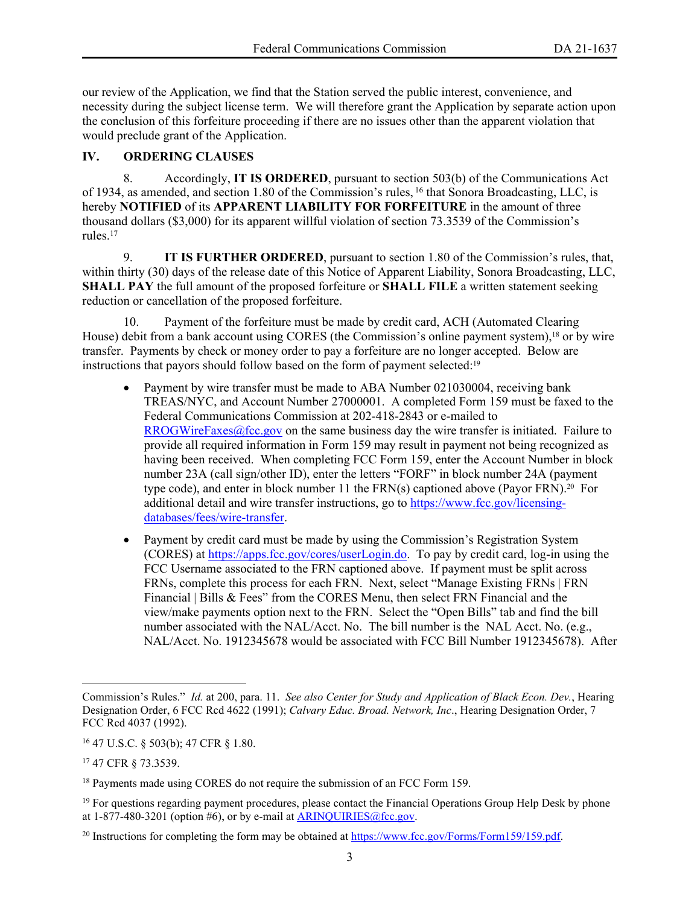our review of the Application, we find that the Station served the public interest, convenience, and necessity during the subject license term. We will therefore grant the Application by separate action upon the conclusion of this forfeiture proceeding if there are no issues other than the apparent violation that would preclude grant of the Application.

# **IV. ORDERING CLAUSES**

8. Accordingly, **IT IS ORDERED**, pursuant to section 503(b) of the Communications Act of 1934, as amended, and section 1.80 of the Commission's rules, <sup>16</sup> that Sonora Broadcasting, LLC, is hereby **NOTIFIED** of its **APPARENT LIABILITY FOR FORFEITURE** in the amount of three thousand dollars (\$3,000) for its apparent willful violation of section 73.3539 of the Commission's rules<sup>17</sup>

9. **IT IS FURTHER ORDERED**, pursuant to section 1.80 of the Commission's rules, that, within thirty (30) days of the release date of this Notice of Apparent Liability, Sonora Broadcasting, LLC, **SHALL PAY** the full amount of the proposed forfeiture or **SHALL FILE** a written statement seeking reduction or cancellation of the proposed forfeiture.

10. Payment of the forfeiture must be made by credit card, ACH (Automated Clearing House) debit from a bank account using CORES (the Commission's online payment system),<sup>18</sup> or by wire transfer. Payments by check or money order to pay a forfeiture are no longer accepted. Below are instructions that payors should follow based on the form of payment selected:<sup>19</sup>

- Payment by wire transfer must be made to ABA Number 021030004, receiving bank TREAS/NYC, and Account Number 27000001. A completed Form 159 must be faxed to the Federal Communications Commission at 202-418-2843 or e-mailed to [RROGWireFaxes@fcc.gov](mailto:RROGWireFaxes@fcc.gov) on the same business day the wire transfer is initiated. Failure to provide all required information in Form 159 may result in payment not being recognized as having been received. When completing FCC Form 159, enter the Account Number in block number 23A (call sign/other ID), enter the letters "FORF" in block number 24A (payment type code), and enter in block number 11 the FRN(s) captioned above (Payor FRN).20 For additional detail and wire transfer instructions, go to [https://www.fcc.gov/licensing](https://www.fcc.gov/licensing-databases/fees/wire-transfer)[databases/fees/wire-transfer.](https://www.fcc.gov/licensing-databases/fees/wire-transfer)
- Payment by credit card must be made by using the Commission's Registration System (CORES) at<https://apps.fcc.gov/cores/userLogin.do>. To pay by credit card, log-in using the FCC Username associated to the FRN captioned above. If payment must be split across FRNs, complete this process for each FRN. Next, select "Manage Existing FRNs | FRN Financial | Bills & Fees" from the CORES Menu, then select FRN Financial and the view/make payments option next to the FRN. Select the "Open Bills" tab and find the bill number associated with the NAL/Acct. No. The bill number is the NAL Acct. No. (e.g., NAL/Acct. No. 1912345678 would be associated with FCC Bill Number 1912345678). After

Commission's Rules." *Id.* at 200, para. 11. *See also Center for Study and Application of Black Econ. Dev.*, Hearing Designation Order, 6 FCC Rcd 4622 (1991); *Calvary Educ. Broad. Network, Inc*., Hearing Designation Order, 7 FCC Rcd 4037 (1992).

<sup>16</sup> 47 U.S.C. § 503(b); 47 CFR § 1.80.

<sup>17</sup> 47 CFR § 73.3539.

<sup>&</sup>lt;sup>18</sup> Payments made using CORES do not require the submission of an FCC Form 159.

<sup>&</sup>lt;sup>19</sup> For questions regarding payment procedures, please contact the Financial Operations Group Help Desk by phone at  $1-877-480-3201$  (option #6), or by e-mail at  $ARINQUIRIES@$  fcc.gov.

<sup>&</sup>lt;sup>20</sup> Instructions for completing the form may be obtained at<https://www.fcc.gov/Forms/Form159/159.pdf>.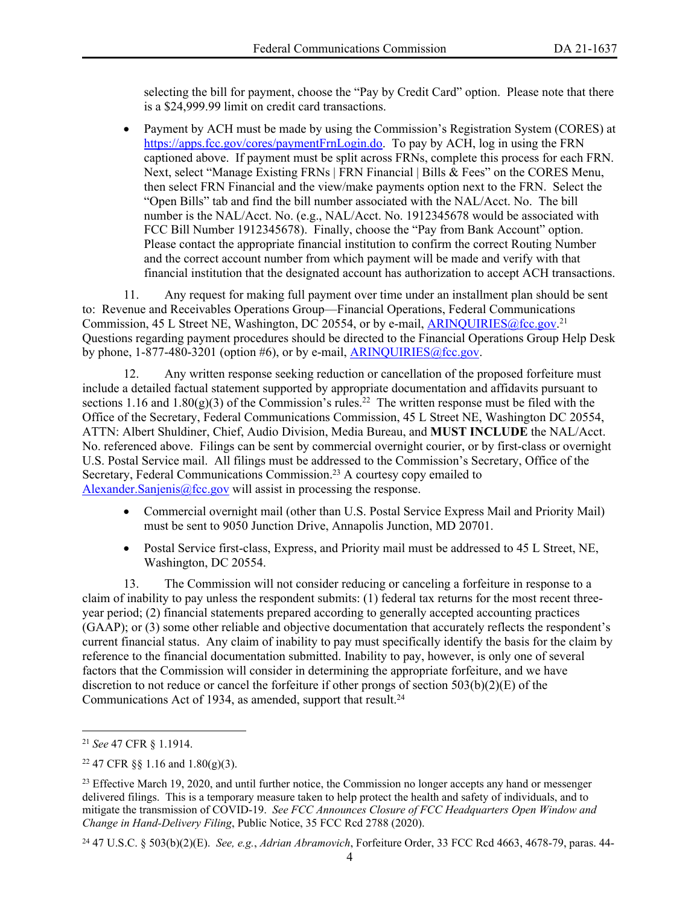selecting the bill for payment, choose the "Pay by Credit Card" option. Please note that there is a \$24,999.99 limit on credit card transactions.

 Payment by ACH must be made by using the Commission's Registration System (CORES) at [https://apps.fcc.gov/cores/paymentFrnLogin.do.](https://apps.fcc.gov/cores/paymentFrnLogin.do) To pay by ACH, log in using the FRN captioned above. If payment must be split across FRNs, complete this process for each FRN. Next, select "Manage Existing FRNs | FRN Financial | Bills & Fees" on the CORES Menu, then select FRN Financial and the view/make payments option next to the FRN. Select the "Open Bills" tab and find the bill number associated with the NAL/Acct. No. The bill number is the NAL/Acct. No. (e.g., NAL/Acct. No. 1912345678 would be associated with FCC Bill Number 1912345678). Finally, choose the "Pay from Bank Account" option. Please contact the appropriate financial institution to confirm the correct Routing Number and the correct account number from which payment will be made and verify with that financial institution that the designated account has authorization to accept ACH transactions.

11. Any request for making full payment over time under an installment plan should be sent to: Revenue and Receivables Operations Group—Financial Operations, Federal Communications Commission, 45 L Street NE, Washington, DC 20554, or by e-mail, **ARINQUIRIES**@fcc.gov.<sup>21</sup> Questions regarding payment procedures should be directed to the Financial Operations Group Help Desk by phone,  $1-877-480-3201$  (option #6), or by e-mail, [ARINQUIRIES@fcc.gov](mailto:ARINQUIRIES@fcc.gov).

12. Any written response seeking reduction or cancellation of the proposed forfeiture must include a detailed factual statement supported by appropriate documentation and affidavits pursuant to sections 1.16 and 1.80(g)(3) of the Commission's rules.<sup>22</sup> The written response must be filed with the Office of the Secretary, Federal Communications Commission, 45 L Street NE, Washington DC 20554, ATTN: Albert Shuldiner, Chief, Audio Division, Media Bureau, and **MUST INCLUDE** the NAL/Acct. No. referenced above. Filings can be sent by commercial overnight courier, or by first-class or overnight U.S. Postal Service mail. All filings must be addressed to the Commission's Secretary, Office of the Secretary, Federal Communications Commission.<sup>23</sup> A courtesy copy emailed to [Alexander.Sanjenis@fcc.gov](mailto:Alexander.Sanjenis@fcc.gov) will assist in processing the response.

- Commercial overnight mail (other than U.S. Postal Service Express Mail and Priority Mail) must be sent to 9050 Junction Drive, Annapolis Junction, MD 20701.
- Postal Service first-class, Express, and Priority mail must be addressed to 45 L Street, NE, Washington, DC 20554.

13. The Commission will not consider reducing or canceling a forfeiture in response to a claim of inability to pay unless the respondent submits: (1) federal tax returns for the most recent threeyear period; (2) financial statements prepared according to generally accepted accounting practices (GAAP); or (3) some other reliable and objective documentation that accurately reflects the respondent's current financial status. Any claim of inability to pay must specifically identify the basis for the claim by reference to the financial documentation submitted. Inability to pay, however, is only one of several factors that the Commission will consider in determining the appropriate forfeiture, and we have discretion to not reduce or cancel the forfeiture if other prongs of section 503(b)(2)(E) of the Communications Act of 1934, as amended, support that result.<sup>24</sup>

24 47 U.S.C. § 503(b)(2)(E). *See, e.g.*, *Adrian Abramovich*, Forfeiture Order, 33 FCC Rcd 4663, 4678-79, paras. 44-

<sup>21</sup> *See* 47 CFR § 1.1914.

 $22$  47 CFR §§ 1.16 and 1.80(g)(3).

<sup>&</sup>lt;sup>23</sup> Effective March 19, 2020, and until further notice, the Commission no longer accepts any hand or messenger delivered filings. This is a temporary measure taken to help protect the health and safety of individuals, and to mitigate the transmission of COVID-19. *See FCC Announces Closure of FCC Headquarters Open Window and Change in Hand-Delivery Filing*, Public Notice, 35 FCC Rcd 2788 (2020).